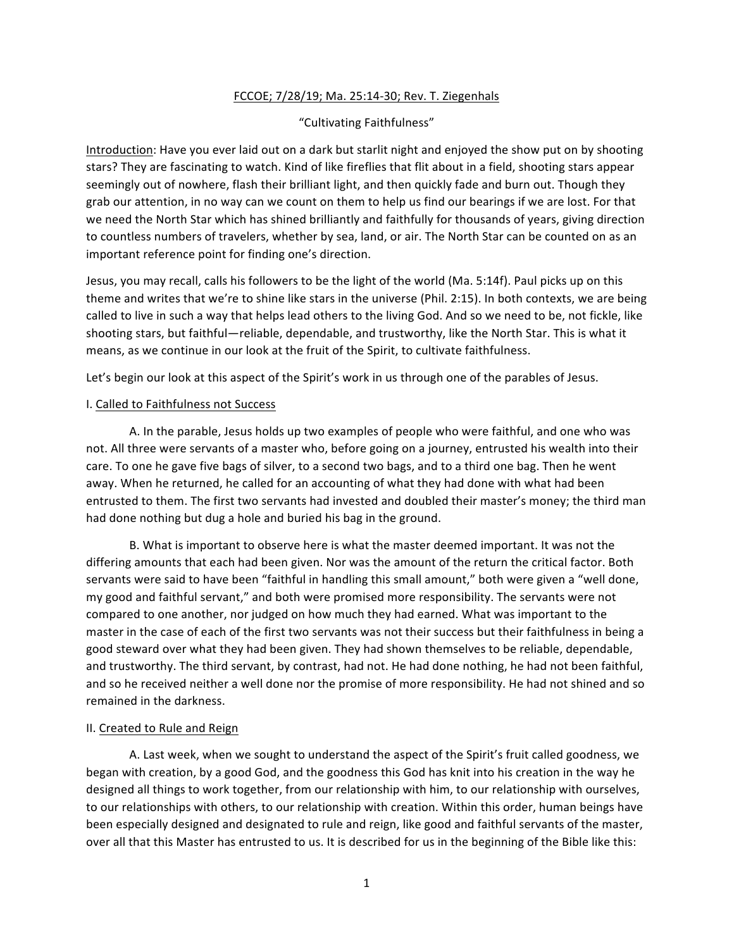# FCCOE; 7/28/19; Ma. 25:14-30; Rev. T. Ziegenhals

## "Cultivating Faithfulness"

Introduction: Have you ever laid out on a dark but starlit night and enjoyed the show put on by shooting stars? They are fascinating to watch. Kind of like fireflies that flit about in a field, shooting stars appear seemingly out of nowhere, flash their brilliant light, and then quickly fade and burn out. Though they grab our attention, in no way can we count on them to help us find our bearings if we are lost. For that we need the North Star which has shined brilliantly and faithfully for thousands of years, giving direction to countless numbers of travelers, whether by sea, land, or air. The North Star can be counted on as an important reference point for finding one's direction.

Jesus, you may recall, calls his followers to be the light of the world (Ma. 5:14f). Paul picks up on this theme and writes that we're to shine like stars in the universe (Phil. 2:15). In both contexts, we are being called to live in such a way that helps lead others to the living God. And so we need to be, not fickle, like shooting stars, but faithful—reliable, dependable, and trustworthy, like the North Star. This is what it means, as we continue in our look at the fruit of the Spirit, to cultivate faithfulness.

Let's begin our look at this aspect of the Spirit's work in us through one of the parables of Jesus.

#### I. Called to Faithfulness not Success

A. In the parable, Jesus holds up two examples of people who were faithful, and one who was not. All three were servants of a master who, before going on a journey, entrusted his wealth into their care. To one he gave five bags of silver, to a second two bags, and to a third one bag. Then he went away. When he returned, he called for an accounting of what they had done with what had been entrusted to them. The first two servants had invested and doubled their master's money; the third man had done nothing but dug a hole and buried his bag in the ground.

B. What is important to observe here is what the master deemed important. It was not the differing amounts that each had been given. Nor was the amount of the return the critical factor. Both servants were said to have been "faithful in handling this small amount," both were given a "well done, my good and faithful servant," and both were promised more responsibility. The servants were not compared to one another, nor judged on how much they had earned. What was important to the master in the case of each of the first two servants was not their success but their faithfulness in being a good steward over what they had been given. They had shown themselves to be reliable, dependable, and trustworthy. The third servant, by contrast, had not. He had done nothing, he had not been faithful, and so he received neither a well done nor the promise of more responsibility. He had not shined and so remained in the darkness.

### II. Created to Rule and Reign

A. Last week, when we sought to understand the aspect of the Spirit's fruit called goodness, we began with creation, by a good God, and the goodness this God has knit into his creation in the way he designed all things to work together, from our relationship with him, to our relationship with ourselves, to our relationships with others, to our relationship with creation. Within this order, human beings have been especially designed and designated to rule and reign, like good and faithful servants of the master, over all that this Master has entrusted to us. It is described for us in the beginning of the Bible like this: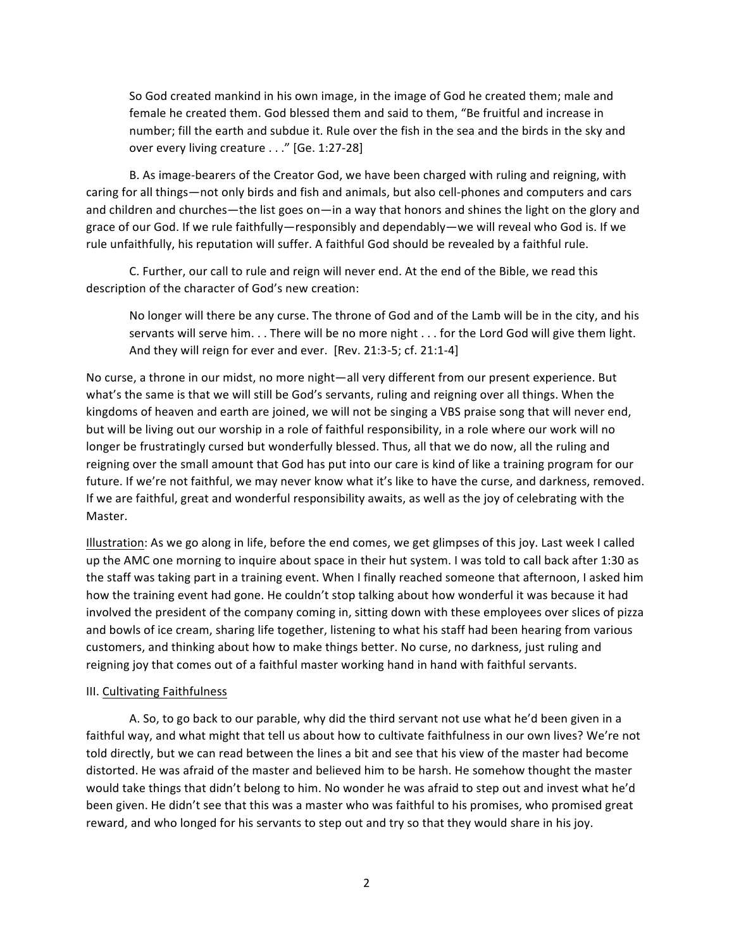So God created mankind in his own image, in the image of God he created them; male and female he created them. God blessed them and said to them, "Be fruitful and increase in number; fill the earth and subdue it. Rule over the fish in the sea and the birds in the sky and over every living creature . . ." [Ge. 1:27-28]

B. As image-bearers of the Creator God, we have been charged with ruling and reigning, with caring for all things—not only birds and fish and animals, but also cell-phones and computers and cars and children and churches—the list goes on—in a way that honors and shines the light on the glory and grace of our God. If we rule faithfully—responsibly and dependably—we will reveal who God is. If we rule unfaithfully, his reputation will suffer. A faithful God should be revealed by a faithful rule.

C. Further, our call to rule and reign will never end. At the end of the Bible, we read this description of the character of God's new creation:

No longer will there be any curse. The throne of God and of the Lamb will be in the city, and his servants will serve him.  $\ldots$  There will be no more night  $\ldots$  for the Lord God will give them light. And they will reign for ever and ever. [Rev. 21:3-5; cf. 21:1-4]

No curse, a throne in our midst, no more night—all very different from our present experience. But what's the same is that we will still be God's servants, ruling and reigning over all things. When the kingdoms of heaven and earth are joined, we will not be singing a VBS praise song that will never end, but will be living out our worship in a role of faithful responsibility, in a role where our work will no longer be frustratingly cursed but wonderfully blessed. Thus, all that we do now, all the ruling and reigning over the small amount that God has put into our care is kind of like a training program for our future. If we're not faithful, we may never know what it's like to have the curse, and darkness, removed. If we are faithful, great and wonderful responsibility awaits, as well as the joy of celebrating with the Master.

Illustration: As we go along in life, before the end comes, we get glimpses of this joy. Last week I called up the AMC one morning to inquire about space in their hut system. I was told to call back after 1:30 as the staff was taking part in a training event. When I finally reached someone that afternoon, I asked him how the training event had gone. He couldn't stop talking about how wonderful it was because it had involved the president of the company coming in, sitting down with these employees over slices of pizza and bowls of ice cream, sharing life together, listening to what his staff had been hearing from various customers, and thinking about how to make things better. No curse, no darkness, just ruling and reigning joy that comes out of a faithful master working hand in hand with faithful servants.

### III. Cultivating Faithfulness

A. So, to go back to our parable, why did the third servant not use what he'd been given in a faithful way, and what might that tell us about how to cultivate faithfulness in our own lives? We're not told directly, but we can read between the lines a bit and see that his view of the master had become distorted. He was afraid of the master and believed him to be harsh. He somehow thought the master would take things that didn't belong to him. No wonder he was afraid to step out and invest what he'd been given. He didn't see that this was a master who was faithful to his promises, who promised great reward, and who longed for his servants to step out and try so that they would share in his joy.